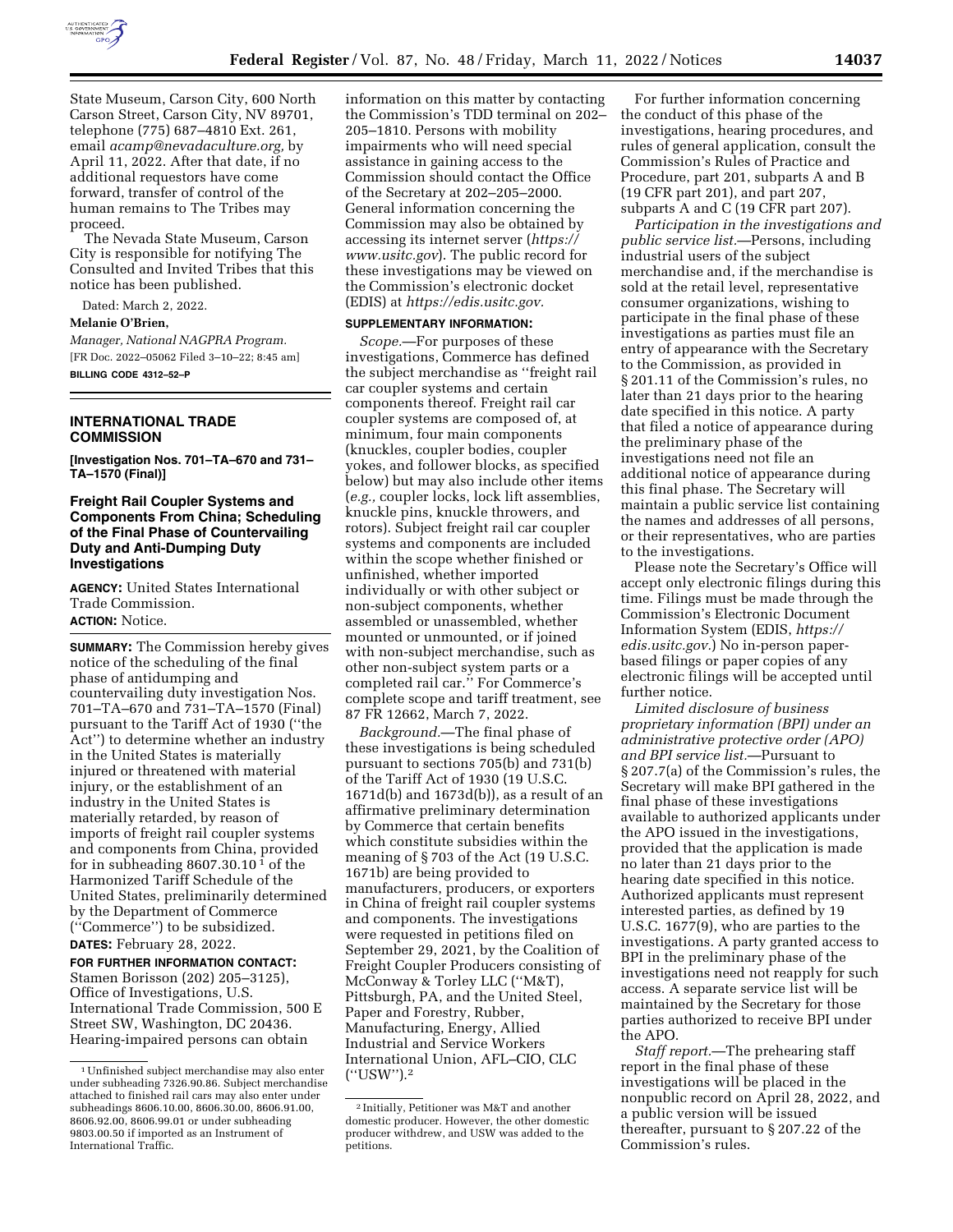

State Museum, Carson City, 600 North Carson Street, Carson City, NV 89701, telephone (775) 687–4810 Ext. 261, email *acamp@nevadaculture.org,* by April 11, 2022. After that date, if no additional requestors have come forward, transfer of control of the human remains to The Tribes may proceed.

The Nevada State Museum, Carson City is responsible for notifying The Consulted and Invited Tribes that this notice has been published.

Dated: March 2, 2022.

## **Melanie O'Brien,**

*Manager, National NAGPRA Program.*  [FR Doc. 2022–05062 Filed 3–10–22; 8:45 am] **BILLING CODE 4312–52–P** 

## **INTERNATIONAL TRADE COMMISSION**

**[Investigation Nos. 701–TA–670 and 731– TA–1570 (Final)]** 

## **Freight Rail Coupler Systems and Components From China; Scheduling of the Final Phase of Countervailing Duty and Anti-Dumping Duty Investigations**

**AGENCY:** United States International Trade Commission. **ACTION:** Notice.

**SUMMARY:** The Commission hereby gives notice of the scheduling of the final phase of antidumping and countervailing duty investigation Nos. 701–TA–670 and 731–TA–1570 (Final) pursuant to the Tariff Act of 1930 (''the Act'') to determine whether an industry in the United States is materially injured or threatened with material injury, or the establishment of an industry in the United States is materially retarded, by reason of imports of freight rail coupler systems and components from China, provided for in subheading  $8607.30.10<sup>1</sup>$  of the Harmonized Tariff Schedule of the United States, preliminarily determined by the Department of Commerce (''Commerce'') to be subsidized. **DATES:** February 28, 2022.

**FOR FURTHER INFORMATION CONTACT:**  Stamen Borisson (202) 205–3125), Office of Investigations, U.S. International Trade Commission, 500 E Street SW, Washington, DC 20436. Hearing-impaired persons can obtain

information on this matter by contacting the Commission's TDD terminal on 202– 205–1810. Persons with mobility impairments who will need special assistance in gaining access to the Commission should contact the Office of the Secretary at 202–205–2000. General information concerning the Commission may also be obtained by accessing its internet server (*https:// www.usitc.gov*). The public record for these investigations may be viewed on the Commission's electronic docket (EDIS) at *https://edis.usitc.gov.* 

#### **SUPPLEMENTARY INFORMATION:**

*Scope.*—For purposes of these investigations, Commerce has defined the subject merchandise as ''freight rail car coupler systems and certain components thereof. Freight rail car coupler systems are composed of, at minimum, four main components (knuckles, coupler bodies, coupler yokes, and follower blocks, as specified below) but may also include other items (*e.g.,* coupler locks, lock lift assemblies, knuckle pins, knuckle throwers, and rotors). Subject freight rail car coupler systems and components are included within the scope whether finished or unfinished, whether imported individually or with other subject or non-subject components, whether assembled or unassembled, whether mounted or unmounted, or if joined with non-subject merchandise, such as other non-subject system parts or a completed rail car.'' For Commerce's complete scope and tariff treatment, see 87 FR 12662, March 7, 2022.

*Background.*—The final phase of these investigations is being scheduled pursuant to sections 705(b) and 731(b) of the Tariff Act of 1930 (19 U.S.C. 1671d(b) and 1673d(b)), as a result of an affirmative preliminary determination by Commerce that certain benefits which constitute subsidies within the meaning of § 703 of the Act (19 U.S.C. 1671b) are being provided to manufacturers, producers, or exporters in China of freight rail coupler systems and components. The investigations were requested in petitions filed on September 29, 2021, by the Coalition of Freight Coupler Producers consisting of McConway & Torley LLC (''M&T), Pittsburgh, PA, and the United Steel, Paper and Forestry, Rubber, Manufacturing, Energy, Allied Industrial and Service Workers International Union, AFL–CIO, CLC (''USW'').2

For further information concerning the conduct of this phase of the investigations, hearing procedures, and rules of general application, consult the Commission's Rules of Practice and Procedure, part 201, subparts A and B (19 CFR part 201), and part 207, subparts A and C (19 CFR part 207).

*Participation in the investigations and public service list.*—Persons, including industrial users of the subject merchandise and, if the merchandise is sold at the retail level, representative consumer organizations, wishing to participate in the final phase of these investigations as parties must file an entry of appearance with the Secretary to the Commission, as provided in § 201.11 of the Commission's rules, no later than 21 days prior to the hearing date specified in this notice. A party that filed a notice of appearance during the preliminary phase of the investigations need not file an additional notice of appearance during this final phase. The Secretary will maintain a public service list containing the names and addresses of all persons, or their representatives, who are parties to the investigations.

Please note the Secretary's Office will accept only electronic filings during this time. Filings must be made through the Commission's Electronic Document Information System (EDIS, *https:// edis.usitc.gov.*) No in-person paperbased filings or paper copies of any electronic filings will be accepted until further notice.

*Limited disclosure of business proprietary information (BPI) under an administrative protective order (APO) and BPI service list.*—Pursuant to § 207.7(a) of the Commission's rules, the Secretary will make BPI gathered in the final phase of these investigations available to authorized applicants under the APO issued in the investigations, provided that the application is made no later than 21 days prior to the hearing date specified in this notice. Authorized applicants must represent interested parties, as defined by 19 U.S.C. 1677(9), who are parties to the investigations. A party granted access to BPI in the preliminary phase of the investigations need not reapply for such access. A separate service list will be maintained by the Secretary for those parties authorized to receive BPI under the APO.

*Staff report.*—The prehearing staff report in the final phase of these investigations will be placed in the nonpublic record on April 28, 2022, and a public version will be issued thereafter, pursuant to § 207.22 of the Commission's rules.

<sup>1</sup>Unfinished subject merchandise may also enter under subheading 7326.90.86. Subject merchandise attached to finished rail cars may also enter under subheadings 8606.10.00, 8606.30.00, 8606.91.00, 8606.92.00, 8606.99.01 or under subheading 9803.00.50 if imported as an Instrument of International Traffic.

<sup>2</sup> Initially, Petitioner was M&T and another domestic producer. However, the other domestic producer withdrew, and USW was added to the petitions.